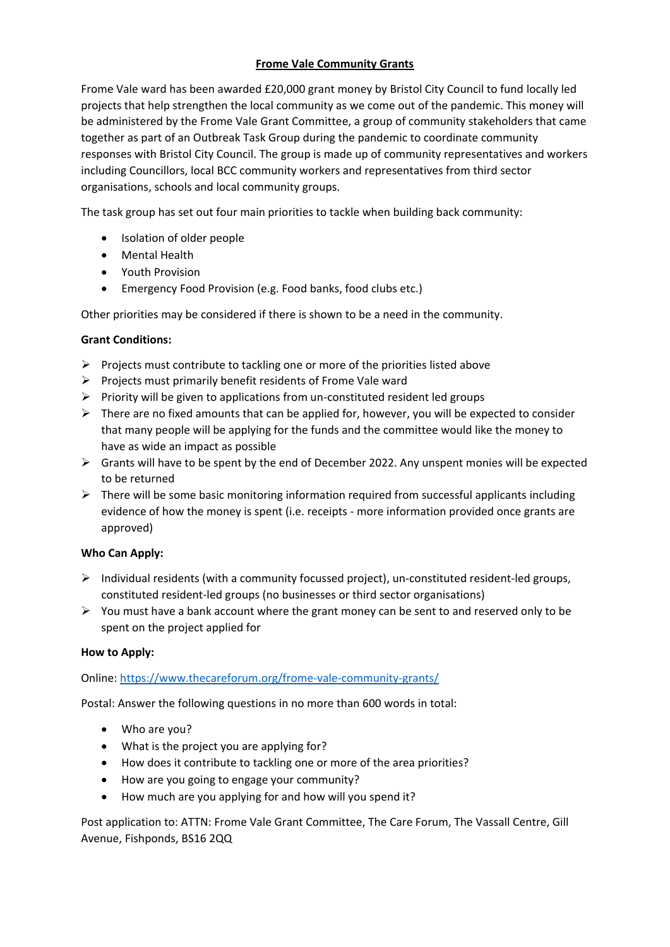# **Frome Vale Community Grants**

Frome Vale ward has been awarded £20,000 grant money by Bristol City Council to fund locally led projects that help strengthen the local community as we come out of the pandemic. This money will be administered by the Frome Vale Grant Committee, a group of community stakeholders that came together as part of an Outbreak Task Group during the pandemic to coordinate community responses with Bristol City Council. The group is made up of community representatives and workers including Councillors, local BCC community workers and representatives from third sector organisations, schools and local community groups.

The task group has set out four main priorities to tackle when building back community:

- Isolation of older people
- Mental Health
- Youth Provision
- Emergency Food Provision (e.g. Food banks, food clubs etc.)

Other priorities may be considered if there is shown to be a need in the community.

## **Grant Conditions:**

- $\triangleright$  Projects must contribute to tackling one or more of the priorities listed above
- ➢ Projects must primarily benefit residents of Frome Vale ward
- $\triangleright$  Priority will be given to applications from un-constituted resident led groups
- $\triangleright$  There are no fixed amounts that can be applied for, however, you will be expected to consider that many people will be applying for the funds and the committee would like the money to have as wide an impact as possible
- ➢ Grants will have to be spent by the end of December 2022. Any unspent monies will be expected to be returned
- $\triangleright$  There will be some basic monitoring information required from successful applicants including evidence of how the money is spent (i.e. receipts - more information provided once grants are approved)

## **Who Can Apply:**

- ➢ Individual residents (with a community focussed project), un-constituted resident-led groups, constituted resident-led groups (no businesses or third sector organisations)
- $\triangleright$  You must have a bank account where the grant money can be sent to and reserved only to be spent on the project applied for

## **How to Apply:**

Online: <https://www.thecareforum.org/frome-vale-community-grants/>

Postal: Answer the following questions in no more than 600 words in total:

- Who are you?
- What is the project you are applying for?
- How does it contribute to tackling one or more of the area priorities?
- How are you going to engage your community?
- How much are you applying for and how will you spend it?

Post application to: ATTN: Frome Vale Grant Committee, The Care Forum, The Vassall Centre, Gill Avenue, Fishponds, BS16 2QQ